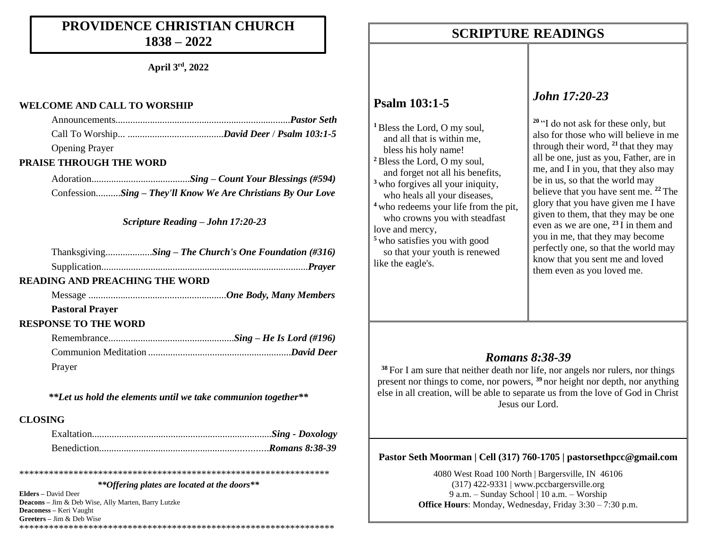### **PROVIDENCE CHRISTIAN CHURCH 1838 – 2022**

**April 3rd, 2022**

#### **WELCOME AND CALL TO WORSHIP**

| <b>Opening Prayer</b> |  |
|-----------------------|--|

#### **PRAISE THROUGH THE WORD**

Adoration........................................*Sing – Count Your Blessings (#594)* Confession..........*Sing – They'll Know We Are Christians By Our Love*

*Scripture Reading – John 17:20-23*

| ThanksgivingSing - The Church's One Foundation (#316) |  |  |
|-------------------------------------------------------|--|--|
|                                                       |  |  |

#### **READING AND PREACHING THE WORD**

Message ........................................................*One Body, Many Members*

#### **Pastoral Prayer**

#### **RESPONSE TO THE WORD**

| Prayer |  |
|--------|--|

*\*\*Let us hold the elements until we take communion together\*\**

### **CLOSING**

*\*\*Offering plates are located at the doors\*\**

\*\*\*\*\*\*\*\*\*\*\*\*\*\*\*\*\*\*\*\*\*\*\*\*\*\*\*\*\*\*\*\*\*\*\*\*\*\*\*\*\*\*\*\*\*\*\*\*\*\*\*\*\*\*\*\*\*\*\*\*\*\*\*

**Elders –** David Deer **Deacons –** Jim & Deb Wise, Ally Marten, Barry Lutzke **Deaconess –** Keri Vaught **Greeters –** Jim & Deb Wise \*\*\*\*\*\*\*\*\*\*\*\*\*\*\*\*\*\*\*\*\*\*\*\*\*\*\*\*\*\*\*\*\*\*\*\*\*\*\*\*\*\*\*\*\*\*\*\*\*\*\*\*\*\*\*\*\*\*\*\*\*\*\*\*

### **SCRIPTURE READINGS SCRIPTURE READINGS**

### **Psalm 103:1-5**

**<sup>1</sup>**Bless the Lord, O my soul, and all that is within me, bless his holy name! **<sup>2</sup>**Bless the Lord, O my soul, and forget not all his benefits, **<sup>3</sup>** who forgives all your iniquity, who heals all your diseases, **<sup>4</sup>** who redeems your life from the pit, who crowns you with steadfast love and mercy, **<sup>5</sup>** who satisfies you with good

 so that your youth is renewed like the eagle's.

### *John 17:20-23*

**<sup>20</sup>** "I do not ask for these only, but also for those who will believe in me through their word, **<sup>21</sup>** that they may all be one, just as you, Father, are in me, and I in you, that they also may be in us, so that the world may believe that you have sent me. **<sup>22</sup>** The glory that you have given me I have given to them, that they may be one even as we are one, **<sup>23</sup>** I in them and you in me, that they may become perfectly one, so that the world may know that you sent me and loved them even as you loved me.

### *Romans 8:38-39*

**<sup>38</sup>** For I am sure that neither death nor life, nor angels nor rulers, nor things present nor things to come, nor powers, **<sup>39</sup>** nor height nor depth, nor anything else in all creation, will be able to separate us from the love of God in Christ Jesus our Lord.

### **Pastor Seth Moorman | Cell (317) 760-1705 | pastorsethpcc@gmail.com**

4080 West Road 100 North | Bargersville, IN 46106 (317) 422-9331 | www.pccbargersville.org 9 a.m. – Sunday School | 10 a.m. – Worship **Office Hours**: Monday, Wednesday, Friday 3:30 – 7:30 p.m.